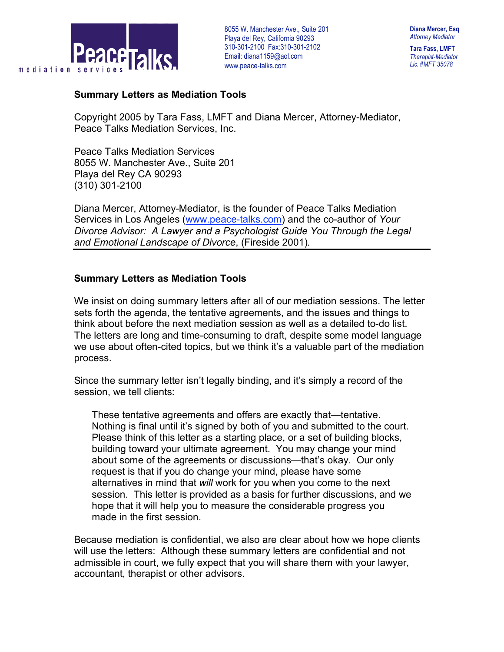

8055 W. Manchester Ave., Suite 201 . Playa del Rey, California 90293 310-301-2100 Fax:310-301-2102 Email: diana1159@aol.com www.peace-talks.com

**Tara Fass, LMFT** *Therapist-Mediator Lic. #MFT 35078*

## **Summary Letters as Mediation Tools**

Copyright 2005 by Tara Fass, LMFT and Diana Mercer, Attorney-Mediator, Peace Talks Mediation Services, Inc.

Peace Talks Mediation Services 8055 W. Manchester Ave., Suite 201 Playa del Rey CA 90293 (310) 301-2100

Diana Mercer, Attorney-Mediator, is the founder of Peace Talks Mediation Services in Los Angeles (www.peace-talks.com) and the co-author of *Your Divorce Advisor: A Lawyer and a Psychologist Guide You Through the Legal and Emotional Landscape of Divorce*, (Fireside 2001)*.*

## **Summary Letters as Mediation Tools**

We insist on doing summary letters after all of our mediation sessions. The letter sets forth the agenda, the tentative agreements, and the issues and things to think about before the next mediation session as well as a detailed to-do list. The letters are long and time-consuming to draft, despite some model language we use about often-cited topics, but we think it's a valuable part of the mediation process.

Since the summary letter isn't legally binding, and it's simply a record of the session, we tell clients:

These tentative agreements and offers are exactly that—tentative. Nothing is final until it's signed by both of you and submitted to the court. Please think of this letter as a starting place, or a set of building blocks, building toward your ultimate agreement. You may change your mind about some of the agreements or discussions—that's okay. Our only request is that if you do change your mind, please have some alternatives in mind that *will* work for you when you come to the next session. This letter is provided as a basis for further discussions, and we hope that it will help you to measure the considerable progress you made in the first session.

Because mediation is confidential, we also are clear about how we hope clients will use the letters: Although these summary letters are confidential and not admissible in court, we fully expect that you will share them with your lawyer, accountant, therapist or other advisors.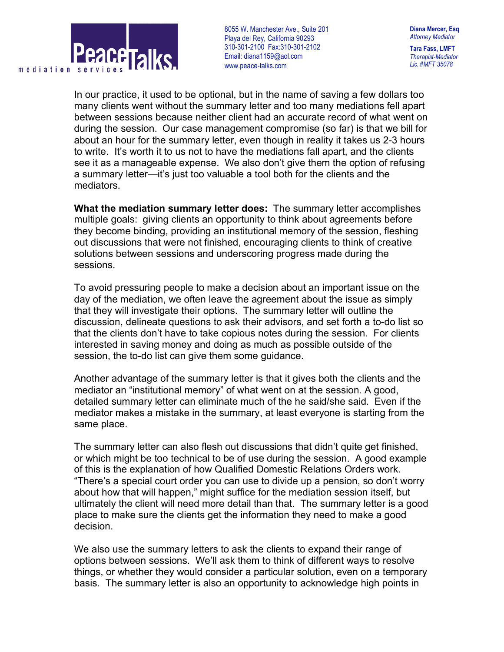

8055 W. Manchester Ave., Suite 201 . Playa del Rey, California 90293 310-301-2100 Fax:310-301-2102 Email: diana1159@aol.com www.peace-talks.com

In our practice, it used to be optional, but in the name of saving a few dollars too many clients went without the summary letter and too many mediations fell apart between sessions because neither client had an accurate record of what went on during the session. Our case management compromise (so far) is that we bill for about an hour for the summary letter, even though in reality it takes us 2-3 hours to write. It's worth it to us not to have the mediations fall apart, and the clients see it as a manageable expense. We also don't give them the option of refusing a summary letter—it's just too valuable a tool both for the clients and the mediators.

**What the mediation summary letter does:** The summary letter accomplishes multiple goals: giving clients an opportunity to think about agreements before they become binding, providing an institutional memory of the session, fleshing out discussions that were not finished, encouraging clients to think of creative solutions between sessions and underscoring progress made during the sessions.

To avoid pressuring people to make a decision about an important issue on the day of the mediation, we often leave the agreement about the issue as simply that they will investigate their options. The summary letter will outline the discussion, delineate questions to ask their advisors, and set forth a to-do list so that the clients don't have to take copious notes during the session. For clients interested in saving money and doing as much as possible outside of the session, the to-do list can give them some guidance.

Another advantage of the summary letter is that it gives both the clients and the mediator an "institutional memory" of what went on at the session. A good, detailed summary letter can eliminate much of the he said/she said. Even if the mediator makes a mistake in the summary, at least everyone is starting from the same place.

The summary letter can also flesh out discussions that didn't quite get finished, or which might be too technical to be of use during the session. A good example of this is the explanation of how Qualified Domestic Relations Orders work. "There's a special court order you can use to divide up a pension, so don't worry about how that will happen," might suffice for the mediation session itself, but ultimately the client will need more detail than that. The summary letter is a good place to make sure the clients get the information they need to make a good decision.

We also use the summary letters to ask the clients to expand their range of options between sessions. We'll ask them to think of different ways to resolve things, or whether they would consider a particular solution, even on a temporary basis. The summary letter is also an opportunity to acknowledge high points in